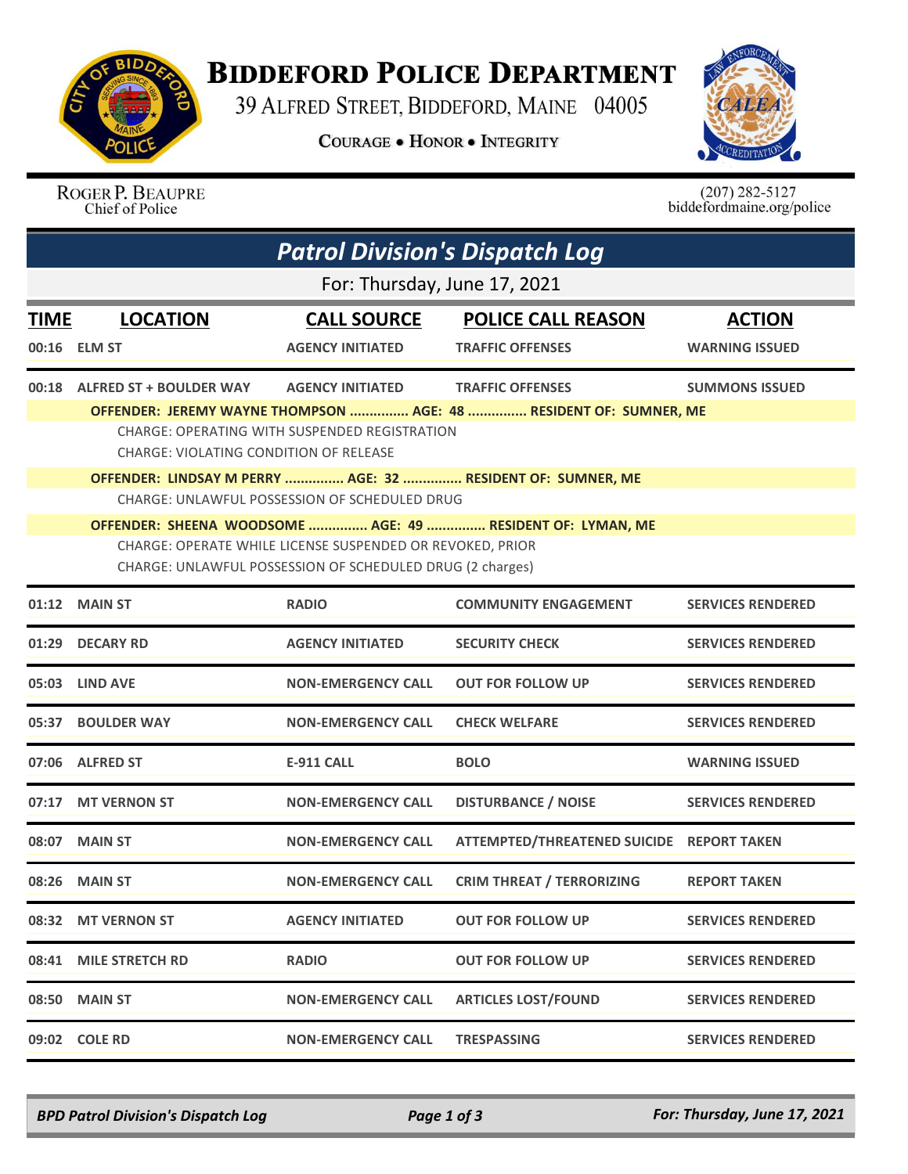

## **BIDDEFORD POLICE DEPARTMENT**

39 ALFRED STREET, BIDDEFORD, MAINE 04005

**COURAGE . HONOR . INTEGRITY** 



ROGER P. BEAUPRE Chief of Police

 $(207)$  282-5127<br>biddefordmaine.org/police

| <b>Patrol Division's Dispatch Log</b> |                                                                                                                                                                                      |                                               |                                                                   |                          |  |  |  |  |
|---------------------------------------|--------------------------------------------------------------------------------------------------------------------------------------------------------------------------------------|-----------------------------------------------|-------------------------------------------------------------------|--------------------------|--|--|--|--|
|                                       | For: Thursday, June 17, 2021                                                                                                                                                         |                                               |                                                                   |                          |  |  |  |  |
| <b>TIME</b>                           | <b>LOCATION</b>                                                                                                                                                                      | <b>CALL SOURCE</b>                            | <b>POLICE CALL REASON</b>                                         | <b>ACTION</b>            |  |  |  |  |
|                                       | 00:16 ELM ST                                                                                                                                                                         | <b>AGENCY INITIATED</b>                       | <b>TRAFFIC OFFENSES</b>                                           | <b>WARNING ISSUED</b>    |  |  |  |  |
| 00:18                                 | <b>ALFRED ST + BOULDER WAY</b>                                                                                                                                                       | <b>AGENCY INITIATED</b>                       | <b>TRAFFIC OFFENSES</b>                                           | <b>SUMMONS ISSUED</b>    |  |  |  |  |
|                                       | CHARGE: VIOLATING CONDITION OF RELEASE                                                                                                                                               | CHARGE: OPERATING WITH SUSPENDED REGISTRATION | OFFENDER: JEREMY WAYNE THOMPSON  AGE: 48  RESIDENT OF: SUMNER, ME |                          |  |  |  |  |
|                                       | OFFENDER: LINDSAY M PERRY  AGE: 32  RESIDENT OF: SUMNER, ME<br><b>CHARGE: UNLAWFUL POSSESSION OF SCHEDULED DRUG</b>                                                                  |                                               |                                                                   |                          |  |  |  |  |
|                                       |                                                                                                                                                                                      |                                               |                                                                   |                          |  |  |  |  |
|                                       | OFFENDER: SHEENA WOODSOME  AGE: 49  RESIDENT OF: LYMAN, ME<br>CHARGE: OPERATE WHILE LICENSE SUSPENDED OR REVOKED, PRIOR<br>CHARGE: UNLAWFUL POSSESSION OF SCHEDULED DRUG (2 charges) |                                               |                                                                   |                          |  |  |  |  |
|                                       | 01:12 MAIN ST                                                                                                                                                                        | <b>RADIO</b>                                  | <b>COMMUNITY ENGAGEMENT</b>                                       | <b>SERVICES RENDERED</b> |  |  |  |  |
| 01:29                                 | <b>DECARY RD</b>                                                                                                                                                                     | <b>AGENCY INITIATED</b>                       | <b>SECURITY CHECK</b>                                             | <b>SERVICES RENDERED</b> |  |  |  |  |
|                                       | 05:03 LIND AVE                                                                                                                                                                       | <b>NON-EMERGENCY CALL</b>                     | <b>OUT FOR FOLLOW UP</b>                                          | <b>SERVICES RENDERED</b> |  |  |  |  |
| 05:37                                 | <b>BOULDER WAY</b>                                                                                                                                                                   | <b>NON-EMERGENCY CALL</b>                     | <b>CHECK WELFARE</b>                                              | <b>SERVICES RENDERED</b> |  |  |  |  |
|                                       | 07:06 ALFRED ST                                                                                                                                                                      | <b>E-911 CALL</b>                             | <b>BOLO</b>                                                       | <b>WARNING ISSUED</b>    |  |  |  |  |
| 07:17                                 | <b>MT VERNON ST</b>                                                                                                                                                                  | <b>NON-EMERGENCY CALL</b>                     | <b>DISTURBANCE / NOISE</b>                                        | <b>SERVICES RENDERED</b> |  |  |  |  |
|                                       | 08:07 MAIN ST                                                                                                                                                                        | <b>NON-EMERGENCY CALL</b>                     | ATTEMPTED/THREATENED SUICIDE REPORT TAKEN                         |                          |  |  |  |  |
|                                       | 08:26 MAIN ST                                                                                                                                                                        | <b>NON-EMERGENCY CALL</b>                     | <b>CRIM THREAT / TERRORIZING</b>                                  | <b>REPORT TAKEN</b>      |  |  |  |  |
|                                       | 08:32 MT VERNON ST                                                                                                                                                                   | <b>AGENCY INITIATED</b>                       | <b>OUT FOR FOLLOW UP</b>                                          | <b>SERVICES RENDERED</b> |  |  |  |  |
|                                       | 08:41 MILE STRETCH RD                                                                                                                                                                | <b>RADIO</b>                                  | <b>OUT FOR FOLLOW UP</b>                                          | <b>SERVICES RENDERED</b> |  |  |  |  |
| 08:50                                 | <b>MAIN ST</b>                                                                                                                                                                       | <b>NON-EMERGENCY CALL</b>                     | <b>ARTICLES LOST/FOUND</b>                                        | <b>SERVICES RENDERED</b> |  |  |  |  |
|                                       | 09:02 COLE RD                                                                                                                                                                        | <b>NON-EMERGENCY CALL</b>                     | <b>TRESPASSING</b>                                                | <b>SERVICES RENDERED</b> |  |  |  |  |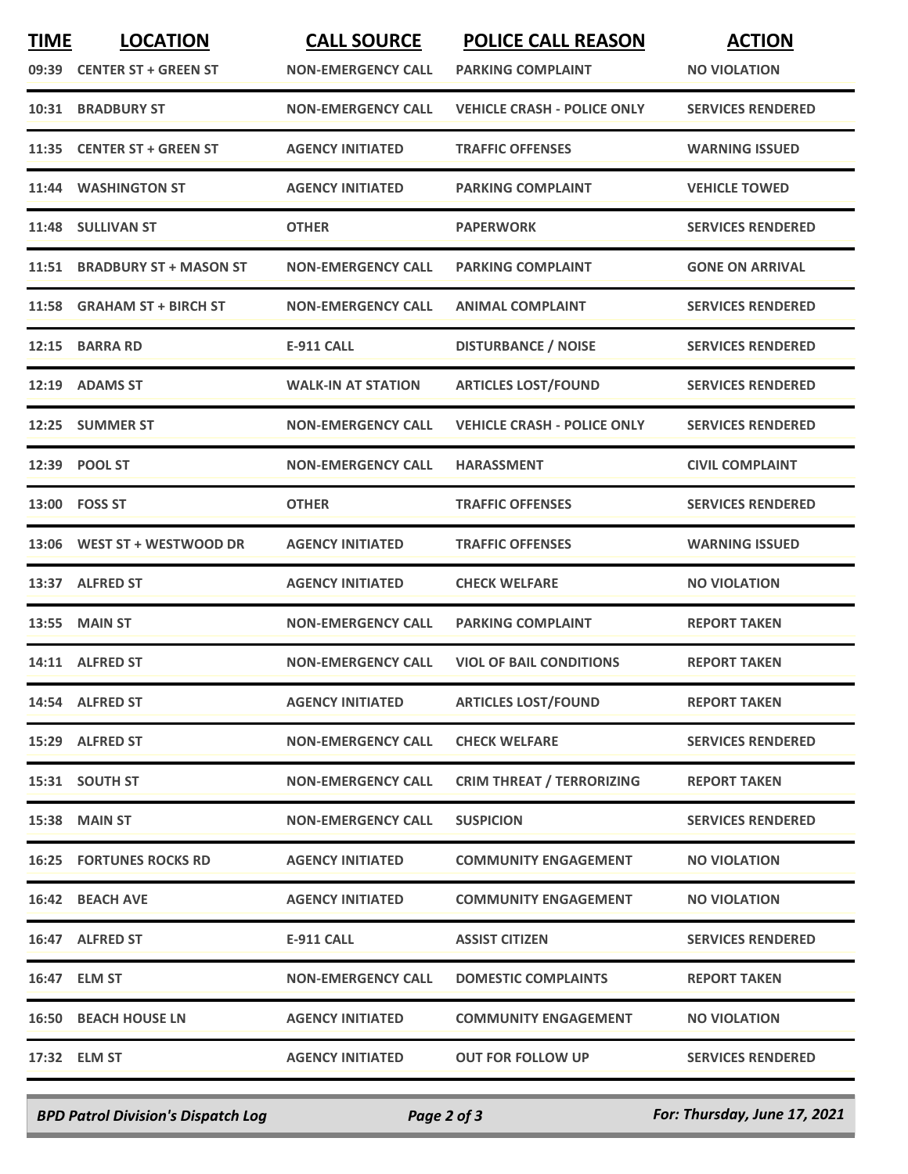| <b>TIME</b> | <b>LOCATION</b><br>09:39 CENTER ST + GREEN ST | <b>CALL SOURCE</b><br><b>NON-EMERGENCY CALL</b> | <b>POLICE CALL REASON</b><br><b>PARKING COMPLAINT</b> | <b>ACTION</b><br><b>NO VIOLATION</b> |
|-------------|-----------------------------------------------|-------------------------------------------------|-------------------------------------------------------|--------------------------------------|
| 10:31       | <b>BRADBURY ST</b>                            | <b>NON-EMERGENCY CALL</b>                       | <b>VEHICLE CRASH - POLICE ONLY</b>                    | <b>SERVICES RENDERED</b>             |
|             | 11:35 CENTER ST + GREEN ST                    | <b>AGENCY INITIATED</b>                         | <b>TRAFFIC OFFENSES</b>                               | <b>WARNING ISSUED</b>                |
| 11:44       | <b>WASHINGTON ST</b>                          | <b>AGENCY INITIATED</b>                         | <b>PARKING COMPLAINT</b>                              | <b>VEHICLE TOWED</b>                 |
| 11:48       | <b>SULLIVAN ST</b>                            | <b>OTHER</b>                                    | <b>PAPERWORK</b>                                      | <b>SERVICES RENDERED</b>             |
| 11:51       | <b>BRADBURY ST + MASON ST</b>                 | <b>NON-EMERGENCY CALL</b>                       | <b>PARKING COMPLAINT</b>                              | <b>GONE ON ARRIVAL</b>               |
| 11:58       | <b>GRAHAM ST + BIRCH ST</b>                   | <b>NON-EMERGENCY CALL</b>                       | <b>ANIMAL COMPLAINT</b>                               | <b>SERVICES RENDERED</b>             |
| 12:15       | <b>BARRA RD</b>                               | <b>E-911 CALL</b>                               | <b>DISTURBANCE / NOISE</b>                            | <b>SERVICES RENDERED</b>             |
| 12:19       | <b>ADAMS ST</b>                               | <b>WALK-IN AT STATION</b>                       | <b>ARTICLES LOST/FOUND</b>                            | <b>SERVICES RENDERED</b>             |
|             | 12:25 SUMMER ST                               | <b>NON-EMERGENCY CALL</b>                       | <b>VEHICLE CRASH - POLICE ONLY</b>                    | <b>SERVICES RENDERED</b>             |
|             | 12:39 POOL ST                                 | <b>NON-EMERGENCY CALL</b>                       | <b>HARASSMENT</b>                                     | <b>CIVIL COMPLAINT</b>               |
|             | 13:00 FOSS ST                                 | <b>OTHER</b>                                    | <b>TRAFFIC OFFENSES</b>                               | <b>SERVICES RENDERED</b>             |
|             | 13:06 WEST ST + WESTWOOD DR                   | <b>AGENCY INITIATED</b>                         | <b>TRAFFIC OFFENSES</b>                               | <b>WARNING ISSUED</b>                |
|             | 13:37 ALFRED ST                               | <b>AGENCY INITIATED</b>                         | <b>CHECK WELFARE</b>                                  | <b>NO VIOLATION</b>                  |
| 13:55       | <b>MAIN ST</b>                                | <b>NON-EMERGENCY CALL</b>                       | <b>PARKING COMPLAINT</b>                              | <b>REPORT TAKEN</b>                  |
|             | 14:11 ALFRED ST                               | <b>NON-EMERGENCY CALL</b>                       | <b>VIOL OF BAIL CONDITIONS</b>                        | <b>REPORT TAKEN</b>                  |
|             | 14:54 ALFRED ST                               | <b>AGENCY INITIATED</b>                         | <b>ARTICLES LOST/FOUND</b>                            | <b>REPORT TAKEN</b>                  |
|             | 15:29 ALFRED ST                               | <b>NON-EMERGENCY CALL</b>                       | <b>CHECK WELFARE</b>                                  | <b>SERVICES RENDERED</b>             |
|             | 15:31 SOUTH ST                                | <b>NON-EMERGENCY CALL</b>                       | <b>CRIM THREAT / TERRORIZING</b>                      | <b>REPORT TAKEN</b>                  |
|             | <b>15:38 MAIN ST</b>                          | <b>NON-EMERGENCY CALL</b>                       | <b>SUSPICION</b>                                      | <b>SERVICES RENDERED</b>             |
|             | <b>16:25 FORTUNES ROCKS RD</b>                | <b>AGENCY INITIATED</b>                         | <b>COMMUNITY ENGAGEMENT</b>                           | <b>NO VIOLATION</b>                  |
|             | 16:42 BEACH AVE                               | <b>AGENCY INITIATED</b>                         | <b>COMMUNITY ENGAGEMENT</b>                           | <b>NO VIOLATION</b>                  |
|             | 16:47 ALFRED ST                               | <b>E-911 CALL</b>                               | <b>ASSIST CITIZEN</b>                                 | <b>SERVICES RENDERED</b>             |
|             | 16:47 ELM ST                                  | <b>NON-EMERGENCY CALL</b>                       | <b>DOMESTIC COMPLAINTS</b>                            | <b>REPORT TAKEN</b>                  |
|             | <b>16:50 BEACH HOUSE LN</b>                   | <b>AGENCY INITIATED</b>                         | <b>COMMUNITY ENGAGEMENT</b>                           | <b>NO VIOLATION</b>                  |
|             | 17:32 ELM ST                                  | <b>AGENCY INITIATED</b>                         | <b>OUT FOR FOLLOW UP</b>                              | <b>SERVICES RENDERED</b>             |
|             |                                               |                                                 |                                                       |                                      |

*BPD Patrol Division's Dispatch Log Page 2 of 3 For: Thursday, June 17, 2021*